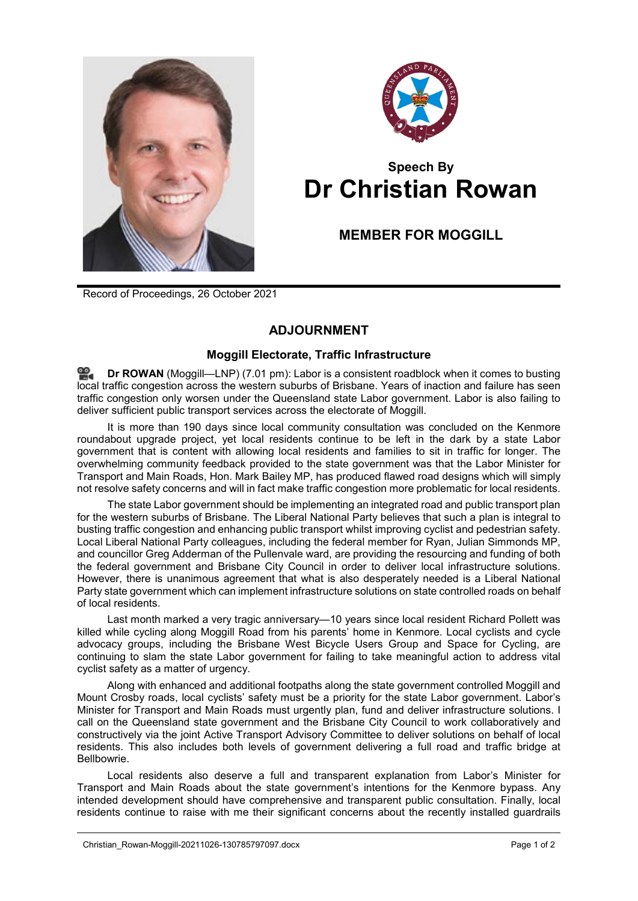



## **Speech By Dr Christian Rowan**

**MEMBER FOR MOGGILL**

Record of Proceedings, 26 October 2021

## **ADJOURNMENT**

## **Moggill Electorate, Traffic Infrastructure**

**Dr [ROWAN](http://www.parliament.qld.gov.au/docs/find.aspx?id=0Mba20211026_190056)** (Moggill—LNP) (7.01 pm): Labor is a consistent roadblock when it comes to busting local traffic congestion across the western suburbs of Brisbane. Years of inaction and failure has seen traffic congestion only worsen under the Queensland state Labor government. Labor is also failing to deliver sufficient public transport services across the electorate of Moggill.

It is more than 190 days since local community consultation was concluded on the Kenmore roundabout upgrade project, yet local residents continue to be left in the dark by a state Labor government that is content with allowing local residents and families to sit in traffic for longer. The overwhelming community feedback provided to the state government was that the Labor Minister for Transport and Main Roads, Hon. Mark Bailey MP, has produced flawed road designs which will simply not resolve safety concerns and will in fact make traffic congestion more problematic for local residents.

The state Labor government should be implementing an integrated road and public transport plan for the western suburbs of Brisbane. The Liberal National Party believes that such a plan is integral to busting traffic congestion and enhancing public transport whilst improving cyclist and pedestrian safety. Local Liberal National Party colleagues, including the federal member for Ryan, Julian Simmonds MP, and councillor Greg Adderman of the Pullenvale ward, are providing the resourcing and funding of both the federal government and Brisbane City Council in order to deliver local infrastructure solutions. However, there is unanimous agreement that what is also desperately needed is a Liberal National Party state government which can implement infrastructure solutions on state controlled roads on behalf of local residents.

Last month marked a very tragic anniversary—10 years since local resident Richard Pollett was killed while cycling along Moggill Road from his parents' home in Kenmore. Local cyclists and cycle advocacy groups, including the Brisbane West Bicycle Users Group and Space for Cycling, are continuing to slam the state Labor government for failing to take meaningful action to address vital cyclist safety as a matter of urgency.

Along with enhanced and additional footpaths along the state government controlled Moggill and Mount Crosby roads, local cyclists' safety must be a priority for the state Labor government. Labor's Minister for Transport and Main Roads must urgently plan, fund and deliver infrastructure solutions. I call on the Queensland state government and the Brisbane City Council to work collaboratively and constructively via the joint Active Transport Advisory Committee to deliver solutions on behalf of local residents. This also includes both levels of government delivering a full road and traffic bridge at Bellbowrie.

Local residents also deserve a full and transparent explanation from Labor's Minister for Transport and Main Roads about the state government's intentions for the Kenmore bypass. Any intended development should have comprehensive and transparent public consultation. Finally, local residents continue to raise with me their significant concerns about the recently installed guardrails